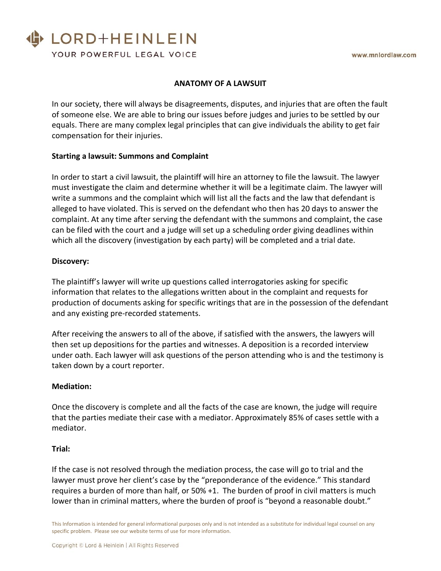# LORD+HEINLEIN

YOUR POWERFUL LEGAL VOICE

### **ANATOMY OF A LAWSUIT**

In our society, there will always be disagreements, disputes, and injuries that are often the fault of someone else. We are able to bring our issues before judges and juries to be settled by our equals. There are many complex legal principles that can give individuals the ability to get fair compensation for their injuries.

## **Starting a lawsuit: Summons and Complaint**

In order to start a civil lawsuit, the plaintiff will hire an attorney to file the lawsuit. The lawyer must investigate the claim and determine whether it will be a legitimate claim. The lawyer will write a summons and the complaint which will list all the facts and the law that defendant is alleged to have violated. This is served on the defendant who then has 20 days to answer the complaint. At any time after serving the defendant with the summons and complaint, the case can be filed with the court and a judge will set up a scheduling order giving deadlines within which all the discovery (investigation by each party) will be completed and a trial date.

#### **Discovery:**

The plaintiff's lawyer will write up questions called interrogatories asking for specific information that relates to the allegations written about in the complaint and requests for production of documents asking for specific writings that are in the possession of the defendant and any existing pre-recorded statements.

After receiving the answers to all of the above, if satisfied with the answers, the lawyers will then set up depositions for the parties and witnesses. A deposition is a recorded interview under oath. Each lawyer will ask questions of the person attending who is and the testimony is taken down by a court reporter.

#### **Mediation:**

Once the discovery is complete and all the facts of the case are known, the judge will require that the parties mediate their case with a mediator. Approximately 85% of cases settle with a mediator.

#### **Trial:**

If the case is not resolved through the mediation process, the case will go to trial and the lawyer must prove her client's case by the "preponderance of the evidence." This standard requires a burden of more than half, or 50% +1. The burden of proof in civil matters is much lower than in criminal matters, where the burden of proof is "beyond a reasonable doubt."

This Information is intended for general informational purposes only and is not intended as a substitute for individual legal counsel on any specific problem. Please see our website terms of use for more information.